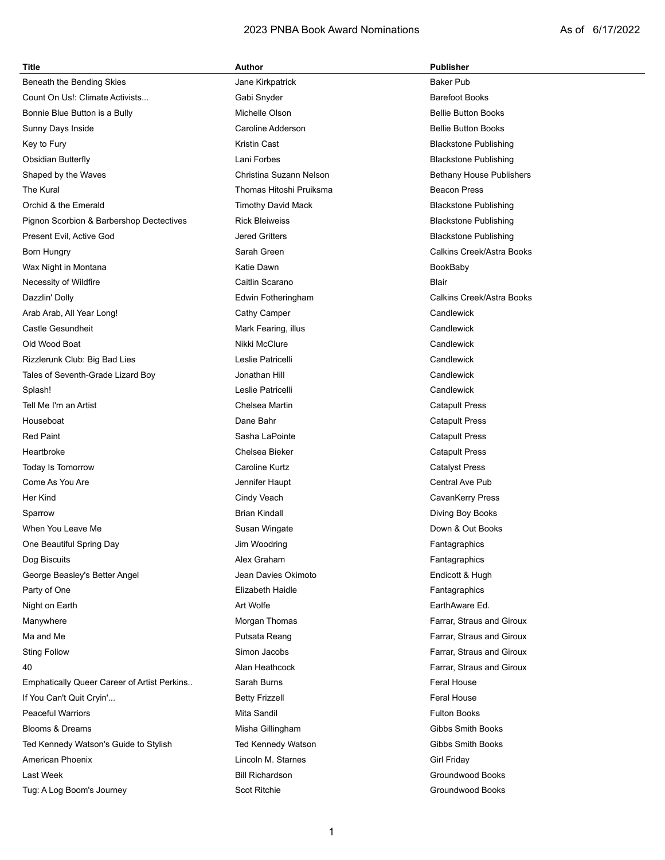# 2023 PNBA Book Award Nominations **As of 6/17/2022**

| <b>Title</b>                                | Author                    | <b>Publisher</b>             |  |
|---------------------------------------------|---------------------------|------------------------------|--|
| Beneath the Bending Skies                   | Jane Kirkpatrick          | <b>Baker Pub</b>             |  |
| Count On Us!: Climate Activists             | Gabi Snyder               | <b>Barefoot Books</b>        |  |
| Bonnie Blue Button is a Bully               | Michelle Olson            | <b>Bellie Button Books</b>   |  |
| Sunny Days Inside                           | Caroline Adderson         | <b>Bellie Button Books</b>   |  |
| Key to Fury                                 | <b>Kristin Cast</b>       | <b>Blackstone Publishing</b> |  |
| <b>Obsidian Butterfly</b>                   | Lani Forbes               | <b>Blackstone Publishing</b> |  |
| Shaped by the Waves                         | Christina Suzann Nelson   | Bethany House Publishers     |  |
| The Kural                                   | Thomas Hitoshi Pruiksma   | <b>Beacon Press</b>          |  |
| Orchid & the Emerald                        | <b>Timothy David Mack</b> | <b>Blackstone Publishing</b> |  |
| Pignon Scorbion & Barbershop Dectectives    | <b>Rick Bleiweiss</b>     | <b>Blackstone Publishing</b> |  |
| Present Evil, Active God                    | <b>Jered Gritters</b>     | <b>Blackstone Publishing</b> |  |
| Born Hungry                                 | Sarah Green               | Calkins Creek/Astra Books    |  |
| Wax Night in Montana                        | Katie Dawn                | BookBaby                     |  |
| Necessity of Wildfire                       | Caitlin Scarano           | <b>Blair</b>                 |  |
| Dazzlin' Dolly                              | Edwin Fotheringham        | Calkins Creek/Astra Books    |  |
| Arab Arab, All Year Long!                   | Cathy Camper              | Candlewick                   |  |
| Castle Gesundheit                           | Mark Fearing, illus       | Candlewick                   |  |
| Old Wood Boat                               | Nikki McClure             | Candlewick                   |  |
| Rizzlerunk Club: Big Bad Lies               | Leslie Patricelli         | Candlewick                   |  |
| Tales of Seventh-Grade Lizard Boy           | Jonathan Hill             | Candlewick                   |  |
| Splash!                                     | Leslie Patricelli         | Candlewick                   |  |
| Tell Me I'm an Artist                       | Chelsea Martin            | <b>Catapult Press</b>        |  |
| Houseboat                                   | Dane Bahr                 | <b>Catapult Press</b>        |  |
| <b>Red Paint</b>                            | Sasha LaPointe            | <b>Catapult Press</b>        |  |
| Heartbroke                                  | Chelsea Bieker            | <b>Catapult Press</b>        |  |
| Today Is Tomorrow                           | Caroline Kurtz            | <b>Catalyst Press</b>        |  |
| Come As You Are                             | Jennifer Haupt            | Central Ave Pub              |  |
| Her Kind                                    | Cindy Veach               | CavanKerry Press             |  |
| Sparrow                                     | <b>Brian Kindall</b>      | Diving Boy Books             |  |
| When You Leave Me                           | Susan Wingate             | Down & Out Books             |  |
| One Beautiful Spring Day                    | Jim Woodring              | Fantagraphics                |  |
| Dog Biscuits                                | Alex Graham               | Fantagraphics                |  |
| George Beasley's Better Angel               | Jean Davies Okimoto       | Endicott & Hugh              |  |
| Party of One                                | Elizabeth Haidle          | Fantagraphics                |  |
| Night on Earth                              | Art Wolfe                 | EarthAware Ed.               |  |
| Manywhere                                   | Morgan Thomas             | Farrar, Straus and Giroux    |  |
| Ma and Me                                   | Putsata Reang             | Farrar, Straus and Giroux    |  |
| <b>Sting Follow</b>                         | Simon Jacobs              | Farrar, Straus and Giroux    |  |
| 40                                          | Alan Heathcock            | Farrar, Straus and Giroux    |  |
| Emphatically Queer Career of Artist Perkins | Sarah Burns               | <b>Feral House</b>           |  |
| If You Can't Quit Cryin'                    | <b>Betty Frizzell</b>     | <b>Feral House</b>           |  |
| <b>Peaceful Warriors</b>                    | Mita Sandil               | <b>Fulton Books</b>          |  |
| <b>Blooms &amp; Dreams</b>                  | Misha Gillingham          | Gibbs Smith Books            |  |
| Ted Kennedy Watson's Guide to Stylish       | Ted Kennedy Watson        | Gibbs Smith Books            |  |
| American Phoenix                            | Lincoln M. Starnes        | Girl Friday                  |  |
| Last Week                                   | <b>Bill Richardson</b>    | Groundwood Books             |  |
| Tug: A Log Boom's Journey                   | Scot Ritchie              | Groundwood Books             |  |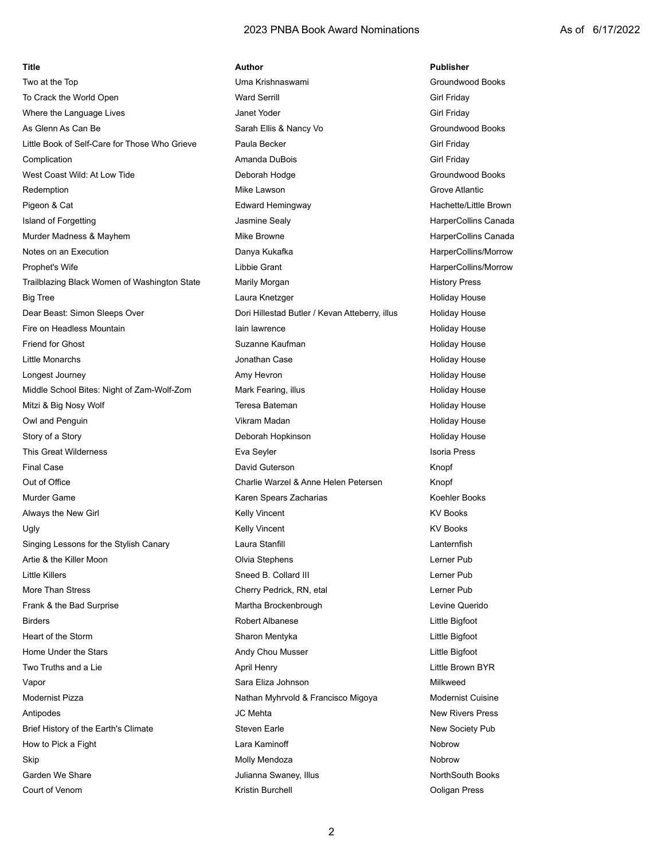#### 2023 PNBA Book Award Nominations 2023 As of 6/17/2022

# To Crack the World Open **Ward Serrill** Ward Serrill **Constant Constant Constant Constant Constant Constant Constant Constant Constant Constant Constant Constant Constant Constant Constant Constant Constant Constant Constan** Where the Language Lives **Community Community Community Community** Janet Yoder **Community Community Community Community** Girl Friday As Glenn As Can Be Sarah Ellis & Nancy Vo Groundwood Books Groundwood Books Groundwood Books Little Book of Self-Care for Those Who Grieve Paula Becker Communication Cirl Friday Complication **Amanda DuBois** Girl Friday Girl Friday West Coast Wild: At Low Tide **Communist Coast Coast Coast Coast At Low Tide Coast Coast Coast Coast Coast Coast Co** Redemption **Mike Lawson** Grove Atlantic Grove Atlantic Pigeon & Cat **Edward Hemingway** Facebook Cat Hachette/Little Brown Hachette/Little Brown Island of Forgetting The Matter of The Jasmine Sealy Collection of HarperCollins Canada Murder Madness & Mayhem **Mike Browne** Mike Browne **Mike Browne** HarperCollins Canada Notes on an Execution **Notes on an Execution** Danya Kukafka **Manya Kukafka** HarperCollins/Morrow Prophet's Wife **Libbie Grant** Libbie Grant And American HarperCollins/Morrow Trailblazing Black Women of Washington State Marily Morgan Number of Allen History Press Big Tree **Laura Knetzger** Holiday House Holiday House **Laura Knetzger Holiday House** Dear Beast: Simon Sleeps Over **Dori Hillestad Butler / Kevan Atteberry, illus** Holiday House Fire on Headless Mountain **Internal Communist Communist Communist Communist Communist Communist Communist Communist Communist Communist Communist Communist Communist Communist Communist Communist Communist Communist Commun** Friend for Ghost Suzanne Kaufman Holiday House Holiday House Little Monarchs **Communist Case** Jonathan Case **Holiday House** Holiday House Longest Journey **Amy Hevron** Amy Hevron **Amy Holiday House** Holiday House Middle School Bites: Night of Zam-Wolf-Zom Mark Fearing, illus Holiday House Holiday House Mitzi & Big Nosy Wolf **The Contract Contract Teresa Bateman Holiday House** Holiday House Owl and Penguin Number 2012 12 Communication Communication Vikram Madan Number 2013 12 Communication Holiday House Story of a Story **Story Constructs and Australian Hopkinson Holiday House Holiday House** Holiday House This Great Wilderness **Eva Seyler** Eva Seyler **Isoria Press** Isoria Press Final Case David Guterson Knopf Out of Office Charlie Warzel & Anne Helen Petersen Knopf Murder Game **Karen Spears Zacharias** Koehler Books Koehler Books And Koehler Books Koehler Books **Koehler Books** Always the New Girl **Ally Selly Vincent** Charles Always the New Girl Charles Always the New Girl Charles Ally Vincent Ugly Kelly Vincent KV Books Singing Lessons for the Stylish Canary **Laura Stanfill** Laura Stanfill Lanternfish Artie & the Killer Moon **Article Constructs** Olvia Stephens **Letter Public Constructs** Lerner Public Lerner Public Lerner Public Lerner Public Lerner Public Lerner Public Lerner Public Lerner Public Lerner Public Lerner Pu Little Killers **Sneed B. Collard III** Lerner Pub More Than Stress Cherry Pedrick, RN, etal Lerner Pub Frank & the Bad Surprise The Martha Brockenbrough Levine Querido Birders Robert Albanese Little Bigfoot Heart of the Storm Sharon Mentyka Little Bigfoot Home Under the Stars **Andy Chou Musser** Andy Chou Musser **Andy Chou Musser Andy Chou Musser Andy Chou Musser Little Bigfoot** Two Truths and a Lie **April Henry April Henry Little Brown BYR** Little Brown BYR Vapor **Sara Eliza Johnson** Milkweed Milkweed Sara Eliza Johnson **Sara Eliza Johnson** Milkweed Modernist Pizza **Nathan Myhrvold & Francisco Migoya** Modernist Cuisine Antipodes and the set of the MC Mehta New Rivers Press Press Press and the MC Mehta New Rivers Press Brief History of the Earth's Climate Steven Earle Steven Earle New Society Pub How to Pick a Fight **Lara Kaminoff** Chara Lara Kaminoff Nobrow Skip **Molly Mendoza** Molly Mendoza **Nobrow** Nobrow Garden We Share **Julianna Swaney, Illus** Julianna Swaney, Illus NorthSouth Books

**Title Author Publisher** Two at the Top **The Top Contract Contract Contract Contract Contract Contract Contract Contract Contract Contract Contract Contract Contract Contract Contract Contract Contract Contract Contract Contract Contract Contract** Court of Venom **Kristin Burchell** Court of Venom Press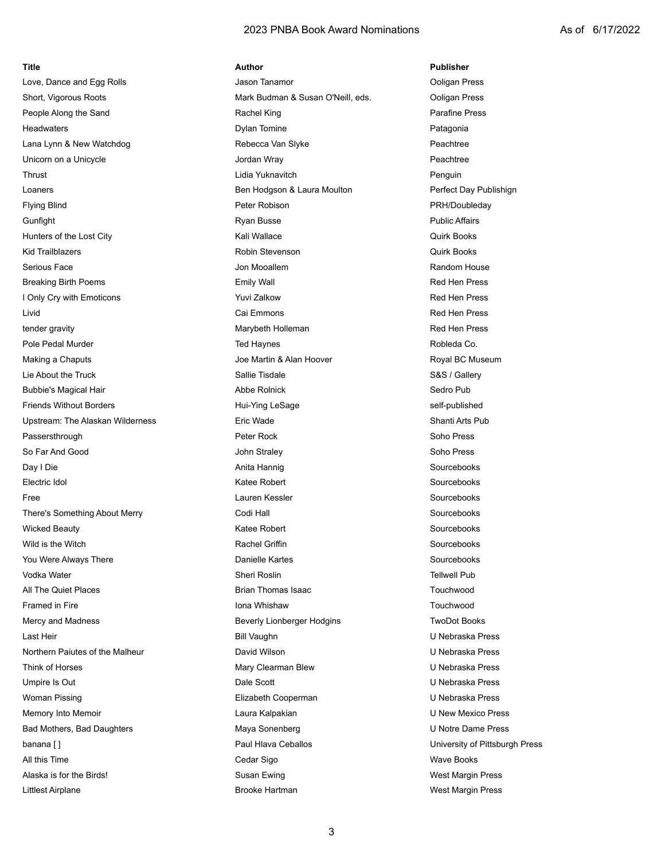### 2023 PNBA Book Award Nominations **As of 6/17/2022**

| Title                            | Author                            | <b>Publisher</b>               |
|----------------------------------|-----------------------------------|--------------------------------|
| Love, Dance and Egg Rolls        | Jason Tanamor                     | Ooligan Press                  |
| Short, Vigorous Roots            | Mark Budman & Susan O'Neill, eds. | Ooligan Press                  |
| People Along the Sand            | Rachel King                       | Parafine Press                 |
| <b>Headwaters</b>                | <b>Dylan Tomine</b>               | Patagonia                      |
| Lana Lynn & New Watchdog         | Rebecca Van Slyke                 | Peachtree                      |
| Unicorn on a Unicycle            | Jordan Wray                       | Peachtree                      |
| Thrust                           | Lidia Yuknavitch                  | Penguin                        |
| Loaners                          | Ben Hodgson & Laura Moulton       | Perfect Day Publishign         |
| <b>Flying Blind</b>              | Peter Robison                     | PRH/Doubleday                  |
| Gunfight                         | Ryan Busse                        | <b>Public Affairs</b>          |
| Hunters of the Lost City         | Kali Wallace                      | <b>Quirk Books</b>             |
| <b>Kid Trailblazers</b>          | Robin Stevenson                   | <b>Quirk Books</b>             |
| Serious Face                     | Jon Mooallem                      | Random House                   |
| <b>Breaking Birth Poems</b>      | <b>Emily Wall</b>                 | <b>Red Hen Press</b>           |
| I Only Cry with Emoticons        | Yuvi Zalkow                       | <b>Red Hen Press</b>           |
| Livid                            | Cai Emmons                        | <b>Red Hen Press</b>           |
| tender gravity                   | Marybeth Holleman                 | <b>Red Hen Press</b>           |
| Pole Pedal Murder                | <b>Ted Haynes</b>                 | Robleda Co.                    |
| Making a Chaputs                 | Joe Martin & Alan Hoover          | Royal BC Museum                |
| Lie About the Truck              | Sallie Tisdale                    | S&S / Gallery                  |
| <b>Bubbie's Magical Hair</b>     | Abbe Rolnick                      | Sedro Pub                      |
| <b>Friends Without Borders</b>   | Hui-Ying LeSage                   | self-published                 |
| Upstream: The Alaskan Wilderness | Eric Wade                         | Shanti Arts Pub                |
| Passersthrough                   | Peter Rock                        | Soho Press                     |
| So Far And Good                  | John Straley                      | Soho Press                     |
| Day I Die                        | Anita Hannig                      | Sourcebooks                    |
| Electric Idol                    | <b>Katee Robert</b>               | Sourcebooks                    |
| Free                             | Lauren Kessler                    | Sourcebooks                    |
| There's Something About Merry    | Codi Hall                         | Sourcebooks                    |
| <b>Wicked Beauty</b>             | <b>Katee Robert</b>               | Sourcebooks                    |
| Wild is the Witch                | <b>Rachel Griffin</b>             | Sourcebooks                    |
| You Were Always There            | Danielle Kartes                   | Sourcebooks                    |
| Vodka Water                      | Sheri Roslin                      | <b>Tellwell Pub</b>            |
| All The Quiet Places             | <b>Brian Thomas Isaac</b>         | Touchwood                      |
| Framed in Fire                   | Iona Whishaw                      | Touchwood                      |
| Mercy and Madness                | Beverly Lionberger Hodgins        | <b>TwoDot Books</b>            |
| Last Heir                        | <b>Bill Vaughn</b>                | U Nebraska Press               |
| Northern Paiutes of the Malheur  | David Wilson                      | U Nebraska Press               |
| Think of Horses                  | Mary Clearman Blew                | U Nebraska Press               |
| Umpire Is Out                    | Dale Scott                        | U Nebraska Press               |
| Woman Pissing                    | Elizabeth Cooperman               | U Nebraska Press               |
| Memory Into Memoir               | Laura Kalpakian                   | U New Mexico Press             |
| Bad Mothers, Bad Daughters       | Maya Sonenberg                    | U Notre Dame Press             |
| banana []                        | Paul Hlava Ceballos               | University of Pittsburgh Press |
| All this Time                    | Cedar Sigo                        | <b>Wave Books</b>              |
| Alaska is for the Birds!         | Susan Ewing                       | West Margin Press              |
| Littlest Airplane                | Brooke Hartman                    | West Margin Press              |